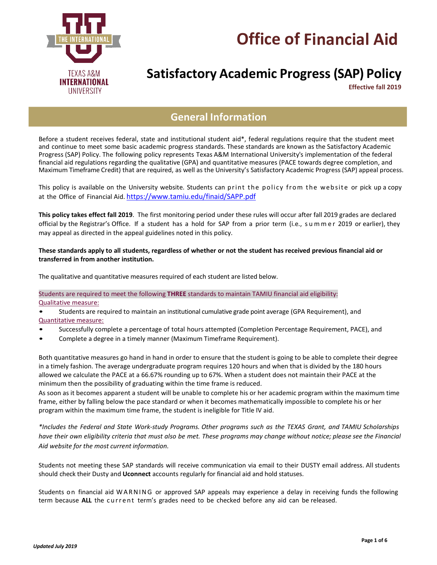



# **Satisfactory Academic Progress (SAP) Policy**

**Effective fall 2019**

## **General Information**

Before a student receives federal, state and institutional student aid\*, federal regulations require that the student meet and continue to meet some basic academic progress standards. These standards are known as the Satisfactory Academic Progress (SAP) Policy. The following policy represents Texas A&M International University's implementation of the federal financial aid regulations regarding the qualitative (GPA) and quantitative measures (PACE towards degree completion, and Maximum Timeframe Credit) that are required, as well as the University's Satisfactory Academic Progress (SAP) appeal process.

This policy is available on the University website. Students can print the policy from the website or pick up a copy at the Office of Financial Aid. <https://www.tamiu.edu/finaid/SAPP.pdf>

**This policy takes effect fall 2019**. The first monitoring period under these rules will occur after fall 2019 grades are declared official by the Registrar's Office. If a student has a hold for SAP from a prior term (i.e., s u m m e r 2019 or earlier), they may appeal as directed in the appeal guidelines noted in this policy.

#### **These standards apply to all students, regardless of whether or not the student has received previous financial aid or transferred in from another institution.**

The qualitative and quantitative measures required of each student are listed below.

#### Students are required to meet the following **THREE** standards to maintain TAMIU financial aid eligibility: Qualitative measure:

• Students are required to maintain an institutional cumulative grade point average (GPA Requirement), and Quantitative measure:

- Successfully complete a percentage of total hours attempted (Completion Percentage Requirement, PACE), and
- Complete a degree in a timely manner (Maximum Timeframe Requirement).

Both quantitative measures go hand in hand in order to ensure that the student is going to be able to complete their degree in a timely fashion. The average undergraduate program requires 120 hours and when that is divided by the 180 hours allowed we calculate the PACE at a 66.67% rounding up to 67%. When a student does not maintain their PACE at the minimum then the possibility of graduating within the time frame is reduced.

As soon as it becomes apparent a student will be unable to complete his or her academic program within the maximum time frame, either by falling below the pace standard or when it becomes mathematically impossible to complete his or her program within the maximum time frame, the student is ineligible for Title IV aid.

*\*Includes the Federal and State Work-study Programs. Other programs such as the TEXAS Grant, and TAMIU Scholarships* have their own eligibility criteria that must also be met. These programs may change without notice; please see the Financial *Aid website for the most current information.*

Students not meeting these SAP standards will receive communication via email to their DUSTY email address. All students should check their Dusty and **Uconnect** accounts regularly for financial aid and hold statuses.

Students on financial aid WARNING or approved SAP appeals may experience a delay in receiving funds the following term because ALL the current term's grades need to be checked before any aid can be released.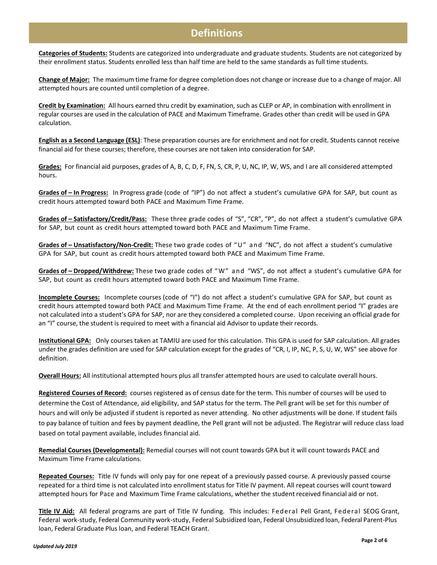### **Definitions**

**Categories of Students:** Students are categorized into undergraduate and graduate students. Students are not categorized by their enrollment status. Students enrolled less than half time are held to the same standards as full time students.

**Change of Major:** The maximum time frame for degree completion does not change or increase due to a change of major. All attempted hours are counted until completion of a degree.

**Credit by Examination:** All hours earned thru credit by examination, such as CLEP or AP, in combination with enrollment in regular courses are used in the calculation of PACE and Maximum Timeframe. Grades other than credit will be used in GPA calculation.

**English as a Second Language (ESL)**: These preparation courses are for enrichment and not for credit. Students cannot receive financial aid for these courses; therefore, these courses are not taken into consideration for SAP.

**Grades:** For financial aid purposes, grades of A, B, C, D, F, FN, S, CR, P, U, NC, IP, W, WS, and I are all considered attempted hours.

**Grades of – In Progress:** In Progress grade (code of "IP") do not affect a student's cumulative GPA for SAP, but count as credit hours attempted toward both PACE and Maximum Time Frame.

Grades of - Satisfactory/Credit/Pass: These three grade codes of "S", "CR", "P", do not affect a student's cumulative GPA for SAP, but count as credit hours attempted toward both PACE and Maximum Time Frame.

Grades of – Unsatisfactory/Non-Credit: These two grade codes of "U" and "NC", do not affect a student's cumulative GPA for SAP, but count as credit hours attempted toward both PACE and Maximum Time Frame.

Grades of - Dropped/Withdrew: These two grade codes of "W" and "WS", do not affect a student's cumulative GPA for SAP, but count as credit hours attempted toward both PACE and Maximum Time Frame.

**Incomplete Courses:** Incomplete courses (code of "I") do not affect a student's cumulative GPA for SAP, but count as credit hours attempted toward both PACE and Maximum Time Frame. At the end of each enrollment period "I" grades are not calculated into a student's GPA for SAP, nor are they considered a completed course. Upon receiving an official grade for an "I" course, the student is required to meet with a financial aid Advisor to update their records.

**Institutional GPA:** Only courses taken at TAMIU are used for this calculation. This GPA is used for SAP calculation. All grades under the grades definition are used for SAP calculation except for the grades of "CR, I, IP, NC, P, S, U, W, WS" see above for definition.

**Overall Hours:** All institutional attempted hours plus all transfer attempted hours are used to calculate overall hours.

**Registered Courses of Record:** courses registered as of census date for the term. This number of courses will be used to determine the Cost of Attendance, aid eligibility, and SAP status for the term. The Pell grant will be set for this number of hours and will only be adjusted if student is reported as never attending. No other adjustments will be done. If student fails to pay balance of tuition and fees by payment deadline, the Pell grant will not be adjusted. The Registrar will reduce class load based on total payment available, includes financial aid.

**Remedial Courses (Developmental):** Remedial courses will not count towards GPA but it will count towards PACE and Maximum Time Frame calculations.

**Repeated Courses:** Title IV funds will only pay for one repeat of a previously passed course. A previously passed course repeated for a third time is not calculated into enrollment status for Title IV payment. All repeat courses will count toward attempted hours for Pace and Maximum Time Frame calculations, whether the student received financial aid or not.

**Title IV Aid:** All federal programs are part of Title IV funding. This includes: Fed eral Pell Grant, Fed eral SEOG Grant, Federal work-study, Federal Community work-study, Federal Subsidized loan, Federal Unsubsidized loan, Federal Parent-Plus loan, Federal Graduate Plus loan, and Federal TEACH Grant.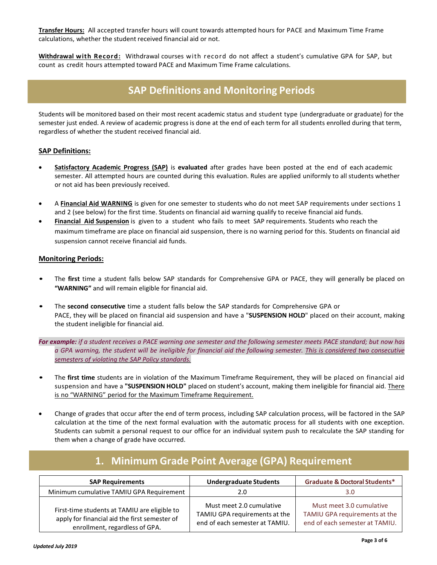**Transfer Hours:** All accepted transfer hours will count towards attempted hours for PACE and Maximum Time Frame calculations, whether the student received financial aid or not.

**Withdrawal with Record:** Withdrawal courses with record do not affect a student's cumulative GPA for SAP, but count as credit hours attempted toward PACE and Maximum Time Frame calculations.

## **SAP Definitions and Monitoring Periods**

Students will be monitored based on their most recent academic status and student type (undergraduate or graduate) for the semester just ended. A review of academic progress is done at the end of each term for all students enrolled during that term, regardless of whether the student received financial aid.

#### **SAP Definitions:**

- **Satisfactory Academic Progress (SAP)** is **evaluated** after grades have been posted at the end of each academic semester. All attempted hours are counted during this evaluation. Rules are applied uniformly to all students whether or not aid has been previously received.
- A **Financial Aid WARNING** is given for one semester to students who do not meet SAP requirements under sections 1 and 2 (see below) for the first time. Students on financial aid warning qualify to receive financial aid funds.
- **Financial Aid Suspension** is given to a student who fails to meet SAP requirements. Students who reach the maximum timeframe are place on financial aid suspension, there is no warning period for this. Students on financial aid suspension cannot receive financial aid funds.

#### **Monitoring Periods:**

- The **first** time a student falls below SAP standards for Comprehensive GPA or PACE, they will generally be placed on **"WARNING"** and will remain eligible for financial aid.
- The **second consecutive** time a student falls below the SAP standards for Comprehensive GPA or PACE, they will be placed on financial aid suspension and have a "**SUSPENSION HOLD**" placed on their account, making the student ineligible for financial aid.

For example: if a student receives a PACE warning one semester and the following semester meets PACE standard; but now has a GPA warning, the student will be ineligible for financial aid the following semester. This is considered two consecutive *semesters of violating the SAP Policy standards.*

- The **first time** students are in violation of the Maximum Timeframe Requirement, they will be placed on financial aid suspension and have a **"SUSPENSION HOLD"** placed on student's account, making them ineligible for financial aid. There is no "WARNING" period for the Maximum Timeframe Requirement.
- Change of grades that occur after the end of term process, including SAP calculation process, will be factored in the SAP calculation at the time of the next formal evaluation with the automatic process for all students with one exception. Students can submit a personal request to our office for an individual system push to recalculate the SAP standing for them when a change of grade have occurred.

| <b>SAP Requirements</b>                                                                                                         | <b>Undergraduate Students</b>                                                               | <b>Graduate &amp; Doctoral Students*</b>                                                    |
|---------------------------------------------------------------------------------------------------------------------------------|---------------------------------------------------------------------------------------------|---------------------------------------------------------------------------------------------|
| Minimum cumulative TAMIU GPA Requirement                                                                                        | 2.0                                                                                         | 3.0                                                                                         |
| First-time students at TAMIU are eligible to<br>apply for financial aid the first semester of<br>enrollment, regardless of GPA. | Must meet 2.0 cumulative<br>TAMIU GPA requirements at the<br>end of each semester at TAMIU. | Must meet 3.0 cumulative<br>TAMIU GPA requirements at the<br>end of each semester at TAMIU. |

## **1. Minimum Grade Point Average (GPA) Requirement**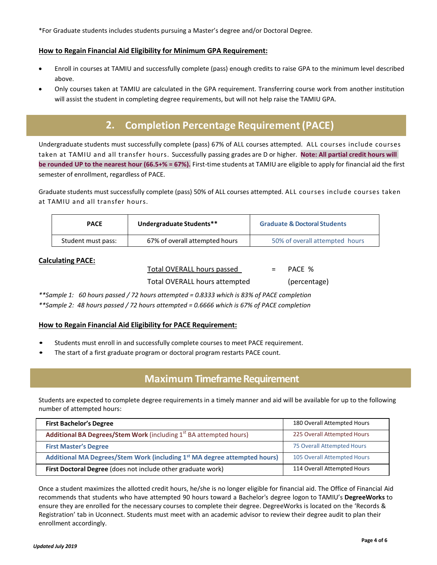\*For Graduate students includes students pursuing a Master's degree and/or Doctoral Degree.

#### **How to Regain Financial Aid Eligibility for Minimum GPA Requirement:**

- Enroll in courses at TAMIU and successfully complete (pass) enough credits to raise GPA to the minimum level described above.
- Only courses taken at TAMIU are calculated in the GPA requirement. Transferring course work from another institution will assist the student in completing degree requirements, but will not help raise the TAMIU GPA.

## **2. Completion Percentage Requirement(PACE)**

Undergraduate students must successfully complete (pass) 67% of ALL courses attempted. ALL courses include courses taken at TAMIU and all transfer hours. Successfully passing grades are D or higher. **Note: All partial credit hours will be rounded UP to the nearest hour (66.5+% = 67%).** First-time students at TAMIU are eligible to apply for financial aid the first semester of enrollment, regardless of PACE.

Graduate students must successfully complete (pass) 50% of ALL courses attempted. ALL courses include courses taken at TAMIU and all transfer hours.

| <b>PACE</b>        | Undergraduate Students**       | <b>Graduate &amp; Doctoral Students</b> |
|--------------------|--------------------------------|-----------------------------------------|
| Student must pass: | 67% of overall attempted hours | 50% of overall attempted hours          |

#### **Calculating PACE:**

Total OVERALL hours passed = PACE %

Total OVERALL hours attempted (percentage)

*\*\*Sample 1: 60 hours passed / 72 hours attempted = 0.8333 which is 83% of PACE completion*

*\*\*Sample 2: 48 hours passed / 72 hours attempted = 0.6666 which is 67% of PACE completion*

#### **How to Regain Financial Aid Eligibility for PACE Requirement:**

- Students must enroll in and successfully complete courses to meet PACE requirement.
- The start of a first graduate program or doctoral program restarts PACE count.

### **Maximum Timeframe Requirement**

Students are expected to complete degree requirements in a timely manner and aid will be available for up to the following number of attempted hours:

| <b>First Bachelor's Degree</b>                                                        | 180 Overall Attempted Hours |
|---------------------------------------------------------------------------------------|-----------------------------|
| <b>Additional BA Degrees/Stem Work</b> (including 1 <sup>st</sup> BA attempted hours) | 225 Overall Attempted Hours |
| <b>First Master's Degree</b>                                                          | 75 Overall Attempted Hours  |
| Additional MA Degrees/Stem Work (including 1st MA degree attempted hours)             | 105 Overall Attempted Hours |
| First Doctoral Degree (does not include other graduate work)                          | 114 Overall Attempted Hours |

Once a student maximizes the allotted credit hours, he/she is no longer eligible for financial aid. The Office of Financial Aid recommends that students who have attempted 90 hours toward a Bachelor's degree logon to TAMIU's **DegreeWorks** to ensure they are enrolled for the necessary courses to complete their degree. DegreeWorks is located on the 'Records & Registration' tab in Uconnect. Students must meet with an academic advisor to review their degree audit to plan their enrollment accordingly.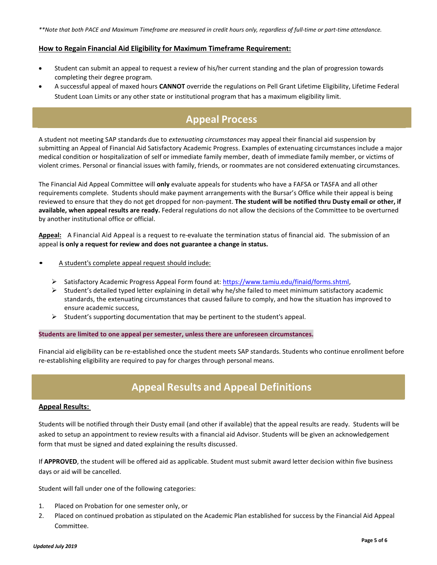#### **How to Regain Financial Aid Eligibility for Maximum Timeframe Requirement:**

- Student can submit an appeal to request a review of his/her current standing and the plan of progression towards completing their degree program.
- A successful appeal of maxed hours **CANNOT** override the regulations on Pell Grant Lifetime Eligibility, Lifetime Federal Student Loan Limits or any other state or institutional program that has a maximum eligibility limit.

## **Appeal Process**

A student not meeting SAP standards due to *extenuating circumstances* may appeal their financial aid suspension by submitting an Appeal of Financial Aid Satisfactory Academic Progress. Examples of extenuating circumstances include a major medical condition or hospitalization of self or immediate family member, death of immediate family member, or victims of violent crimes. Personal or financial issues with family, friends, or roommates are not considered extenuating circumstances.

The Financial Aid Appeal Committee will **only** evaluate appeals for students who have a FAFSA or TASFA and all other requirements complete. Students should make payment arrangements with the Bursar's Office while their appeal is being reviewed to ensure that they do not get dropped for non-payment. **The student will be notified thru Dusty email or other, if available, when appeal results are ready.** Federal regulations do not allow the decisions of the Committee to be overturned by another institutional office or official.

**Appeal:** A Financial Aid Appeal is a request to re-evaluate the termination status of financial aid. The submission of an appeal **is only a request for review and does not guarantee a change in status.**

- A student's complete appeal request should include:
	- Satisfactory Academic Progress Appeal Form found at[: https://www.tamiu.edu/finaid/forms.shtml,](https://www.tamiu.edu/finaid/forms.shtml)
	- $\triangleright$  Student's detailed typed letter explaining in detail why he/she failed to meet minimum satisfactory academic standards, the extenuating circumstances that caused failure to comply, and how the situation has improved to ensure academic success,
	- $\triangleright$  Student's supporting documentation that may be pertinent to the student's appeal.

#### **Students are limited to one appeal per semester, unless there are unforeseen circumstances.**

Financial aid eligibility can be re-established once the student meets SAP standards. Students who continue enrollment before re-establishing eligibility are required to pay for charges through personal means.

### **Appeal Results and Appeal Definitions**

#### **Appeal Results:**

Students will be notified through their Dusty email (and other if available) that the appeal results are ready. Students will be asked to setup an appointment to review results with a financial aid Advisor. Students will be given an acknowledgement form that must be signed and dated explaining the results discussed.

If **APPROVED**, the student will be offered aid as applicable. Student must submit award letter decision within five business days or aid will be cancelled.

Student will fall under one of the following categories:

- 1. Placed on Probation for one semester only, or
- 2. Placed on continued probation as stipulated on the Academic Plan established for success by the Financial Aid Appeal Committee.